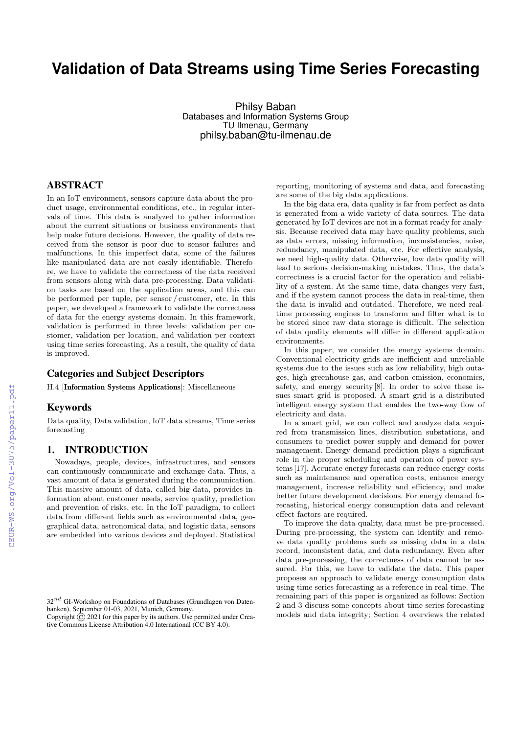# **Validation of Data Streams using Time Series Forecasting**

Philsy Baban Databases and Information Systems Group TU Ilmenau, Germany philsy.baban@tu-ilmenau.de

# ABSTRACT

In an IoT environment, sensors capture data about the product usage, environmental conditions, etc., in regular intervals of time. This data is analyzed to gather information about the current situations or business environments that help make future decisions. However, the quality of data received from the sensor is poor due to sensor failures and malfunctions. In this imperfect data, some of the failures like manipulated data are not easily identifiable. Therefore, we have to validate the correctness of the data received from sensors along with data pre-processing. Data validation tasks are based on the application areas, and this can be performed per tuple, per sensor / customer, etc. In this paper, we developed a framework to validate the correctness of data for the energy systems domain. In this framework, validation is performed in three levels: validation per customer, validation per location, and validation per context using time series forecasting. As a result, the quality of data is improved.

#### Categories and Subject Descriptors

H.4 [Information Systems Applications]: Miscellaneous

#### Keywords

Data quality, Data validation, IoT data streams, Time series forecasting

## 1. INTRODUCTION

Nowadays, people, devices, infrastructures, and sensors can continuously communicate and exchange data. Thus, a vast amount of data is generated during the communication. This massive amount of data, called big data, provides information about customer needs, service quality, prediction and prevention of risks, etc. In the IoT paradigm, to collect data from different fields such as environmental data, geographical data, astronomical data, and logistic data, sensors are embedded into various devices and deployed. Statistical reporting, monitoring of systems and data, and forecasting are some of the big data applications.

In the big data era, data quality is far from perfect as data is generated from a wide variety of data sources. The data generated by IoT devices are not in a format ready for analysis. Because received data may have quality problems, such as data errors, missing information, inconsistencies, noise, redundancy, manipulated data, etc. For effective analysis, we need high-quality data. Otherwise, low data quality will lead to serious decision-making mistakes. Thus, the data's correctness is a crucial factor for the operation and reliability of a system. At the same time, data changes very fast, and if the system cannot process the data in real-time, then the data is invalid and outdated. Therefore, we need realtime processing engines to transform and filter what is to be stored since raw data storage is difficult. The selection of data quality elements will differ in different application environments.

In this paper, we consider the energy systems domain. Conventional electricity grids are inefficient and unreliable systems due to the issues such as low reliability, high outages, high greenhouse gas, and carbon emission, economics, safety, and energy security [8]. In order to solve these issues smart grid is proposed. A smart grid is a distributed intelligent energy system that enables the two-way flow of electricity and data.

In a smart grid, we can collect and analyze data acquired from transmission lines, distribution substations, and consumers to predict power supply and demand for power management. Energy demand prediction plays a significant role in the proper scheduling and operation of power systems [17]. Accurate energy forecasts can reduce energy costs such as maintenance and operation costs, enhance energy management, increase reliability and efficiency, and make better future development decisions. For energy demand forecasting, historical energy consumption data and relevant effect factors are required.

To improve the data quality, data must be pre-processed. During pre-processing, the system can identify and remove data quality problems such as missing data in a data record, inconsistent data, and data redundancy. Even after data pre-processing, the correctness of data cannot be assured. For this, we have to validate the data. This paper proposes an approach to validate energy consumption data using time series forecasting as a reference in real-time. The remaining part of this paper is organized as follows: Section 2 and 3 discuss some concepts about time series forecasting models and data integrity; Section 4 overviews the related

 $32^{nd}$  GI-Workshop on Foundations of Databases (Grundlagen von Datenbanken), September 01-03, 2021, Munich, Germany.

Copyright  $\overline{C}$  2021 for this paper by its authors. Use permitted under Creative Commons License Attribution 4.0 International (CC BY 4.0).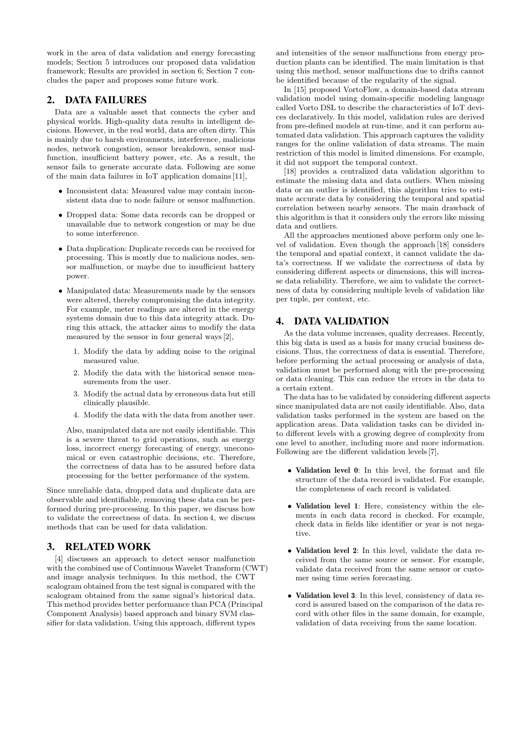work in the area of data validation and energy forecasting models; Section 5 introduces our proposed data validation framework; Results are provided in section 6; Section 7 concludes the paper and proposes some future work.

## 2. DATA FAILURES

Data are a valuable asset that connects the cyber and physical worlds. High-quality data results in intelligent decisions. However, in the real world, data are often dirty. This is mainly due to harsh environments, interference, malicious nodes, network congestion, sensor breakdown, sensor malfunction, insufficient battery power, etc. As a result, the sensor fails to generate accurate data. Following are some of the main data failures in IoT application domains [11],

- Inconsistent data: Measured value may contain inconsistent data due to node failure or sensor malfunction.
- Dropped data: Some data records can be dropped or unavailable due to network congestion or may be due to some interference.
- Data duplication: Duplicate records can be received for processing. This is mostly due to malicious nodes, sensor malfunction, or maybe due to insufficient battery power.
- Manipulated data: Measurements made by the sensors were altered, thereby compromising the data integrity. For example, meter readings are altered in the energy systems domain due to this data integrity attack. During this attack, the attacker aims to modify the data measured by the sensor in four general ways [2],
	- 1. Modify the data by adding noise to the original measured value.
	- 2. Modify the data with the historical sensor measurements from the user.
	- 3. Modify the actual data by erroneous data but still clinically plausible.
	- 4. Modify the data with the data from another user.

Also, manipulated data are not easily identifiable. This is a severe threat to grid operations, such as energy loss, incorrect energy forecasting of energy, uneconomical or even catastrophic decisions, etc. Therefore, the correctness of data has to be assured before data processing for the better performance of the system.

Since unreliable data, dropped data and duplicate data are observable and identifiable, removing these data can be performed during pre-processing. In this paper, we discuss how to validate the correctness of data. In section 4, we discuss methods that can be used for data validation.

# 3. RELATED WORK

[4] discusses an approach to detect sensor malfunction with the combined use of Continuous Wavelet Transform (CWT) and image analysis techniques. In this method, the CWT scalogram obtained from the test signal is compared with the scalogram obtained from the same signal's historical data. This method provides better performance than PCA (Principal Component Analysis) based approach and binary SVM classifier for data validation. Using this approach, different types

and intensities of the sensor malfunctions from energy production plants can be identified. The main limitation is that using this method, sensor malfunctions due to drifts cannot be identified because of the regularity of the signal.

In [15] proposed VortoFlow, a domain-based data stream validation model using domain-specific modeling language called Vorto DSL to describe the characteristics of IoT devices declaratively. In this model, validation rules are derived from pre-defined models at run-time, and it can perform automated data validation. This approach captures the validity ranges for the online validation of data streams. The main restriction of this model is limited dimensions. For example, it did not support the temporal context.

[18] provides a centralized data validation algorithm to estimate the missing data and data outliers. When missing data or an outlier is identified, this algorithm tries to estimate accurate data by considering the temporal and spatial correlation between nearby sensors. The main drawback of this algorithm is that it considers only the errors like missing data and outliers.

All the approaches mentioned above perform only one level of validation. Even though the approach [18] considers the temporal and spatial context, it cannot validate the data's correctness. If we validate the correctness of data by considering different aspects or dimensions, this will increase data reliability. Therefore, we aim to validate the correctness of data by considering multiple levels of validation like per tuple, per context, etc.

# 4. DATA VALIDATION

As the data volume increases, quality decreases. Recently, this big data is used as a basis for many crucial business decisions. Thus, the correctness of data is essential. Therefore, before performing the actual processing or analysis of data, validation must be performed along with the pre-processing or data cleaning. This can reduce the errors in the data to a certain extent.

The data has to be validated by considering different aspects since manipulated data are not easily identifiable. Also, data validation tasks performed in the system are based on the application areas. Data validation tasks can be divided into different levels with a growing degree of complexity from one level to another, including more and more information. Following are the different validation levels [7],

- Validation level 0: In this level, the format and file structure of the data record is validated. For example, the completeness of each record is validated.
- Validation level 1: Here, consistency within the elements in each data record is checked. For example, check data in fields like identifier or year is not negative.
- Validation level 2: In this level, validate the data received from the same source or sensor. For example, validate data received from the same sensor or customer using time series forecasting.
- Validation level 3: In this level, consistency of data record is assured based on the comparison of the data record with other files in the same domain, for example, validation of data receiving from the same location.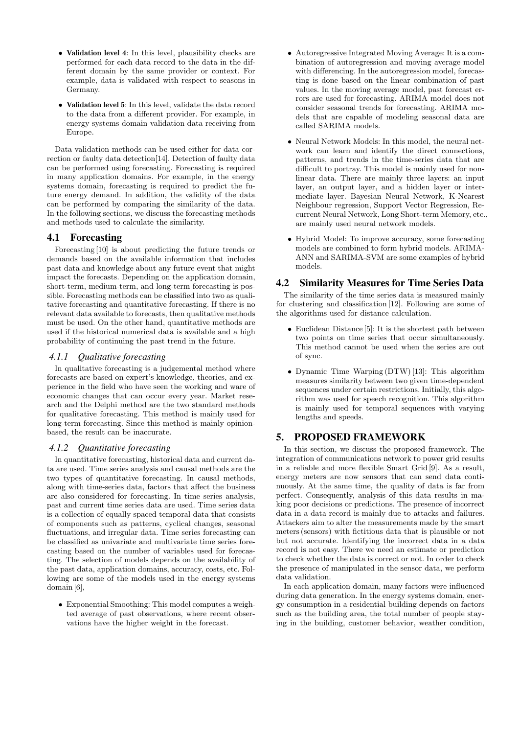- Validation level 4: In this level, plausibility checks are performed for each data record to the data in the different domain by the same provider or context. For example, data is validated with respect to seasons in Germany.
- Validation level 5: In this level, validate the data record to the data from a different provider. For example, in energy systems domain validation data receiving from Europe.

Data validation methods can be used either for data correction or faulty data detection[14]. Detection of faulty data can be performed using forecasting. Forecasting is required in many application domains. For example, in the energy systems domain, forecasting is required to predict the future energy demand. In addition, the validity of the data can be performed by comparing the similarity of the data. In the following sections, we discuss the forecasting methods and methods used to calculate the similarity.

## 4.1 Forecasting

Forecasting [10] is about predicting the future trends or demands based on the available information that includes past data and knowledge about any future event that might impact the forecasts. Depending on the application domain, short-term, medium-term, and long-term forecasting is possible. Forecasting methods can be classified into two as qualitative forecasting and quantitative forecasting. If there is no relevant data available to forecasts, then qualitative methods must be used. On the other hand, quantitative methods are used if the historical numerical data is available and a high probability of continuing the past trend in the future.

## *4.1.1 Qualitative forecasting*

In qualitative forecasting is a judgemental method where forecasts are based on expert's knowledge, theories, and experience in the field who have seen the working and ware of economic changes that can occur every year. Market research and the Delphi method are the two standard methods for qualitative forecasting. This method is mainly used for long-term forecasting. Since this method is mainly opinionbased, the result can be inaccurate.

## *4.1.2 Quantitative forecasting*

In quantitative forecasting, historical data and current data are used. Time series analysis and causal methods are the two types of quantitative forecasting. In causal methods, along with time-series data, factors that affect the business are also considered for forecasting. In time series analysis, past and current time series data are used. Time series data is a collection of equally spaced temporal data that consists of components such as patterns, cyclical changes, seasonal fluctuations, and irregular data. Time series forecasting can be classified as univariate and multivariate time series forecasting based on the number of variables used for forecasting. The selection of models depends on the availability of the past data, application domains, accuracy, costs, etc. Following are some of the models used in the energy systems domain [6],

• Exponential Smoothing: This model computes a weighted average of past observations, where recent observations have the higher weight in the forecast.

- Autoregressive Integrated Moving Average: It is a combination of autoregression and moving average model with differencing. In the autoregression model, forecasting is done based on the linear combination of past values. In the moving average model, past forecast errors are used for forecasting. ARIMA model does not consider seasonal trends for forecasting. ARIMA models that are capable of modeling seasonal data are called SARIMA models.
- Neural Network Models: In this model, the neural network can learn and identify the direct connections, patterns, and trends in the time-series data that are difficult to portray. This model is mainly used for nonlinear data. There are mainly three layers: an input layer, an output layer, and a hidden layer or intermediate layer. Bayesian Neural Network, K-Nearest Neighbour regression, Support Vector Regression, Recurrent Neural Network, Long Short-term Memory, etc., are mainly used neural network models.
- Hybrid Model: To improve accuracy, some forecasting models are combined to form hybrid models. ARIMA-ANN and SARIMA-SVM are some examples of hybrid models.

## 4.2 Similarity Measures for Time Series Data

The similarity of the time series data is measured mainly for clustering and classification [12]. Following are some of the algorithms used for distance calculation.

- Euclidean Distance [5]: It is the shortest path between two points on time series that occur simultaneously. This method cannot be used when the series are out of sync.
- Dynamic Time Warping (DTW) [13]: This algorithm measures similarity between two given time-dependent sequences under certain restrictions. Initially, this algorithm was used for speech recognition. This algorithm is mainly used for temporal sequences with varying lengths and speeds.

## 5. PROPOSED FRAMEWORK

In this section, we discuss the proposed framework. The integration of communications network to power grid results in a reliable and more flexible Smart Grid [9]. As a result, energy meters are now sensors that can send data continuously. At the same time, the quality of data is far from perfect. Consequently, analysis of this data results in making poor decisions or predictions. The presence of incorrect data in a data record is mainly due to attacks and failures. Attackers aim to alter the measurements made by the smart meters (sensors) with fictitious data that is plausible or not but not accurate. Identifying the incorrect data in a data record is not easy. There we need an estimate or prediction to check whether the data is correct or not. In order to check the presence of manipulated in the sensor data, we perform data validation.

In each application domain, many factors were influenced during data generation. In the energy systems domain, energy consumption in a residential building depends on factors such as the building area, the total number of people staying in the building, customer behavior, weather condition,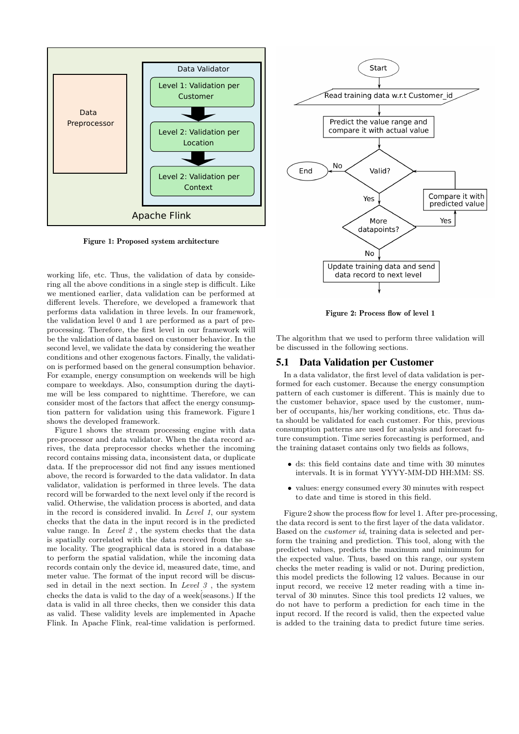

Figure 1: Proposed system architecture

working life, etc. Thus, the validation of data by considering all the above conditions in a single step is difficult. Like we mentioned earlier, data validation can be performed at different levels. Therefore, we developed a framework that performs data validation in three levels. In our framework, the validation level 0 and 1 are performed as a part of preprocessing. Therefore, the first level in our framework will be the validation of data based on customer behavior. In the second level, we validate the data by considering the weather conditions and other exogenous factors. Finally, the validation is performed based on the general consumption behavior. For example, energy consumption on weekends will be high compare to weekdays. Also, consumption during the daytime will be less compared to nighttime. Therefore, we can consider most of the factors that affect the energy consumption pattern for validation using this framework. Figure 1 shows the developed framework.

Figure 1 shows the stream processing engine with data pre-processor and data validator. When the data record arrives, the data preprocessor checks whether the incoming record contains missing data, inconsistent data, or duplicate data. If the preprocessor did not find any issues mentioned above, the record is forwarded to the data validator. In data validator, validation is performed in three levels. The data record will be forwarded to the next level only if the record is valid. Otherwise, the validation process is aborted, and data in the record is considered invalid. In Level 1, our system checks that the data in the input record is in the predicted value range. In Level 2 , the system checks that the data is spatially correlated with the data received from the same locality. The geographical data is stored in a database to perform the spatial validation, while the incoming data records contain only the device id, measured date, time, and meter value. The format of the input record will be discussed in detail in the next section. In Level  $3$  , the system checks the data is valid to the day of a week(seasons.) If the data is valid in all three checks, then we consider this data as valid. These validity levels are implemented in Apache Flink. In Apache Flink, real-time validation is performed.



Figure 2: Process flow of level 1

The algorithm that we used to perform three validation will be discussed in the following sections.

#### 5.1 Data Validation per Customer

In a data validator, the first level of data validation is performed for each customer. Because the energy consumption pattern of each customer is different. This is mainly due to the customer behavior, space used by the customer, number of occupants, his/her working conditions, etc. Thus data should be validated for each customer. For this, previous consumption patterns are used for analysis and forecast future consumption. Time series forecasting is performed, and the training dataset contains only two fields as follows,

- ds: this field contains date and time with 30 minutes intervals. It is in format YYYY-MM-DD HH:MM: SS.
- values: energy consumed every 30 minutes with respect to date and time is stored in this field.

Figure 2 show the process flow for level 1. After pre-processing, the data record is sent to the first layer of the data validator. Based on the customer id, training data is selected and perform the training and prediction. This tool, along with the predicted values, predicts the maximum and minimum for the expected value. Thus, based on this range, our system checks the meter reading is valid or not. During prediction, this model predicts the following 12 values. Because in our input record, we receive 12 meter reading with a time interval of 30 minutes. Since this tool predicts 12 values, we do not have to perform a prediction for each time in the input record. If the record is valid, then the expected value is added to the training data to predict future time series.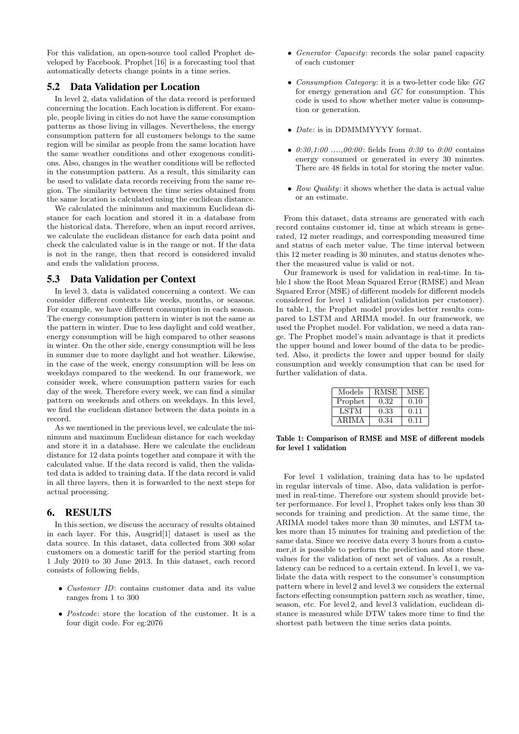For this validation, an open-source tool called Prophet developed by Facebook. Prophet [16] is a forecasting tool that automatically detects change points in a time series.

#### 5.2 Data Validation per Location

In level 2, data validation of the data record is performed concerning the location. Each location is different. For example, people living in cities do not have the same consumption patterns as those living in villages. Nevertheless, the energy consumption pattern for all customers belongs to the same region will be similar as people from the same location have the same weather conditions and other exogenous conditions. Also, changes in the weather conditions will be reflected in the consumption pattern. As a result, this similarity can be used to validate data records receiving from the same region. The similarity between the time series obtained from the same location is calculated using the euclidean distance.

We calculated the minimum and maximum Euclidean distance for each location and stored it in a database from the historical data. Therefore, when an input record arrives, we calculate the euclidean distance for each data point and check the calculated value is in the range or not. If the data is not in the range, then that record is considered invalid and ends the validation process.

#### 5.3 Data Validation per Context

In level 3, data is validated concerning a context. We can consider different contexts like weeks, months, or seasons. For example, we have different consumption in each season. The energy consumption pattern in winter is not the same as the pattern in winter. Due to less daylight and cold weather, energy consumption will be high compared to other seasons in winter. On the other side, energy consumption will be less in summer due to more daylight and hot weather. Likewise, in the case of the week, energy consumption will be less on weekdays compared to the weekend. In our framework, we consider week, where consumption pattern varies for each day of the week. Therefore every week, we can find a similar pattern on weekends and others on weekdays. In this level, we find the euclidean distance between the data points in a record.

As we mentioned in the previous level, we calculate the minimum and maximum Euclidean distance for each weekday and store it in a database. Here we calculate the euclidean distance for 12 data points together and compare it with the calculated value. If the data record is valid, then the validated data is added to training data. If the data record is valid in all three layers, then it is forwarded to the next steps for actual processing.

#### 6. RESULTS

In this section, we discuss the accuracy of results obtained in each layer. For this, Ausgrid[1] dataset is used as the data source. In this dataset, data collected from 300 solar customers on a domestic tariff for the period starting from 1 July 2010 to 30 June 2013. In this dataset, each record consists of following fields,

- Customer ID: contains customer data and its value ranges from 1 to 300
- Postcode: store the location of the customer. It is a four digit code. For eg:2076
- Generator Capacity: records the solar panel capacity of each customer
- Consumption Category: it is a two-letter code like GG for energy generation and GC for consumption. This code is used to show whether meter value is consumption or generation.
- *Date:* is in DDMMMYYYY format.
- $0:30,1:00, \ldots, 00:00$ : fields from  $0:30$  to  $0:00$  contains energy consumed or generated in every 30 minutes. There are 48 fields in total for storing the meter value.
- Row Quality: it shows whether the data is actual value or an estimate.

From this dataset, data streams are generated with each record contains customer id, time at which stream is generated, 12 meter readings, and corresponding measured time and status of each meter value. The time interval between this 12 meter reading is 30 minutes, and status denotes whether the measured value is valid or not.

Our framework is used for validation in real-time. In table 1 show the Root Mean Squared Error (RMSE) and Mean Squared Error (MSE) of different models for different models considered for level 1 validation (validation per customer). In table 1, the Prophet model provides better results compared to LSTM and ARIMA model. In our framework, we used the Prophet model. For validation, we need a data range. The Prophet model's main advantage is that it predicts the upper bound and lower bound of the data to be predicted. Also, it predicts the lower and upper bound for daily consumption and weekly consumption that can be used for further validation of data.

| Models       | <b>RMSE</b> | MSE  |
|--------------|-------------|------|
| Prophet      | 0.32        | 0.10 |
| LSTM         | 0.33        | 0.11 |
| <b>ARIMA</b> | 0.34        | 0.11 |

Table 1: Comparison of RMSE and MSE of different models for level 1 validation

For level 1 validation, training data has to be updated in regular intervals of time. Also, data validation is performed in real-time. Therefore our system should provide better performance. For level 1, Prophet takes only less than 30 seconds for training and prediction. At the same time, the ARIMA model takes more than 30 minutes, and LSTM takes more than 15 minutes for training and prediction of the same data. Since we receive data every 3 hours from a customer,it is possible to perform the prediction and store these values for the validation of next set of values. As a result, latency can be reduced to a certain extend. In level 1, we validate the data with respect to the consumer's consumption pattern where in level 2 and level 3 we considers the external factors effecting consumption pattern such as weather, time, season, etc. For level 2, and level 3 validation, euclidean distance is measured while DTW takes more time to find the shortest path between the time series data points.